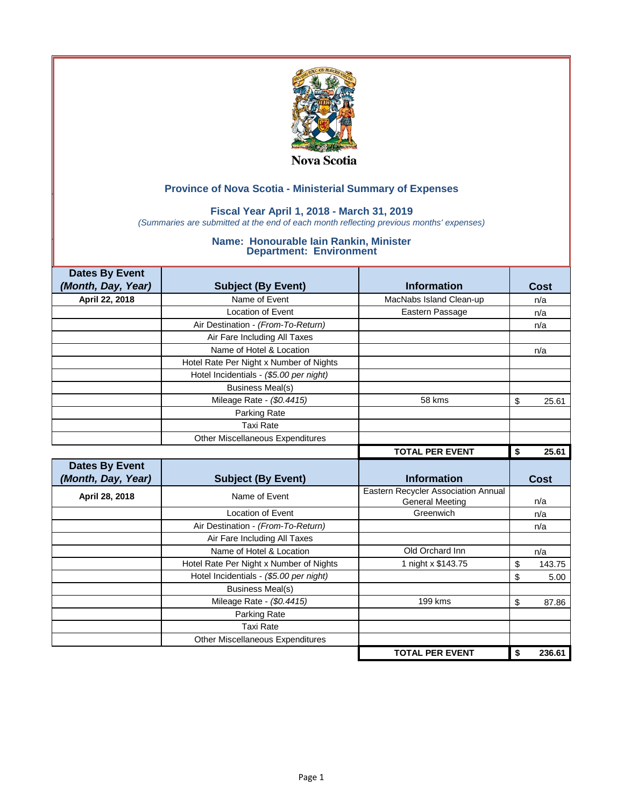

## **Fiscal Year April 1, 2018 - March 31, 2019**

*(Summaries are submitted at the end of each month reflecting previous months' expenses)*

| <b>Dates By Event</b> |                                         |                                     |              |
|-----------------------|-----------------------------------------|-------------------------------------|--------------|
| (Month, Day, Year)    | <b>Subject (By Event)</b>               | <b>Information</b>                  | Cost         |
| April 22, 2018        | Name of Event                           | MacNabs Island Clean-up             | n/a          |
|                       | <b>Location of Event</b>                | Eastern Passage                     | n/a          |
|                       | Air Destination - (From-To-Return)      |                                     | n/a          |
|                       | Air Fare Including All Taxes            |                                     |              |
|                       | Name of Hotel & Location                |                                     | n/a          |
|                       | Hotel Rate Per Night x Number of Nights |                                     |              |
|                       | Hotel Incidentials - (\$5.00 per night) |                                     |              |
|                       | <b>Business Meal(s)</b>                 |                                     |              |
|                       | Mileage Rate - (\$0.4415)               | 58 kms                              | \$<br>25.61  |
|                       | Parking Rate                            |                                     |              |
|                       | <b>Taxi Rate</b>                        |                                     |              |
|                       | Other Miscellaneous Expenditures        |                                     |              |
|                       |                                         | <b>TOTAL PER EVENT</b>              | \$<br>25.61  |
|                       |                                         |                                     |              |
| <b>Dates By Event</b> |                                         |                                     |              |
| (Month, Day, Year)    | <b>Subject (By Event)</b>               | <b>Information</b>                  | <b>Cost</b>  |
| April 28, 2018        | Name of Event                           | Eastern Recycler Association Annual |              |
|                       |                                         | <b>General Meeting</b>              | n/a          |
|                       | <b>Location of Event</b>                | Greenwich                           | n/a          |
|                       | Air Destination - (From-To-Return)      |                                     | n/a          |
|                       | Air Fare Including All Taxes            |                                     |              |
|                       | Name of Hotel & Location                | Old Orchard Inn                     | n/a          |
|                       | Hotel Rate Per Night x Number of Nights | 1 night x \$143.75                  | \$<br>143.75 |
|                       | Hotel Incidentials - (\$5.00 per night) |                                     | \$<br>5.00   |
|                       | <b>Business Meal(s)</b>                 |                                     |              |
|                       | Mileage Rate - (\$0.4415)               | 199 kms                             | \$<br>87.86  |
|                       | Parking Rate                            |                                     |              |
|                       | <b>Taxi Rate</b>                        |                                     |              |
|                       | <b>Other Miscellaneous Expenditures</b> | <b>TOTAL PER EVENT</b>              | \$<br>236.61 |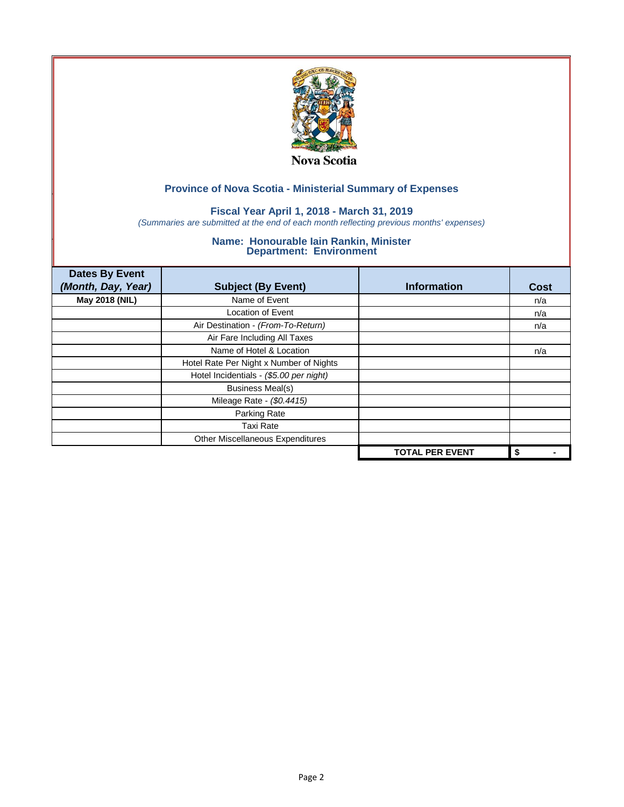

## **Fiscal Year April 1, 2018 - March 31, 2019**

*(Summaries are submitted at the end of each month reflecting previous months' expenses)*

| <b>Dates By Event</b> |                                         |                        |             |
|-----------------------|-----------------------------------------|------------------------|-------------|
| (Month, Day, Year)    | <b>Subject (By Event)</b>               | <b>Information</b>     | <b>Cost</b> |
| May 2018 (NIL)        | Name of Event                           |                        | n/a         |
|                       | <b>Location of Event</b>                |                        | n/a         |
|                       | Air Destination - (From-To-Return)      |                        | n/a         |
|                       | Air Fare Including All Taxes            |                        |             |
|                       | Name of Hotel & Location                |                        | n/a         |
|                       | Hotel Rate Per Night x Number of Nights |                        |             |
|                       | Hotel Incidentials - (\$5.00 per night) |                        |             |
|                       | <b>Business Meal(s)</b>                 |                        |             |
|                       | Mileage Rate - (\$0.4415)               |                        |             |
|                       | Parking Rate                            |                        |             |
|                       | <b>Taxi Rate</b>                        |                        |             |
|                       | Other Miscellaneous Expenditures        |                        |             |
|                       |                                         | <b>TOTAL PER EVENT</b> | \$          |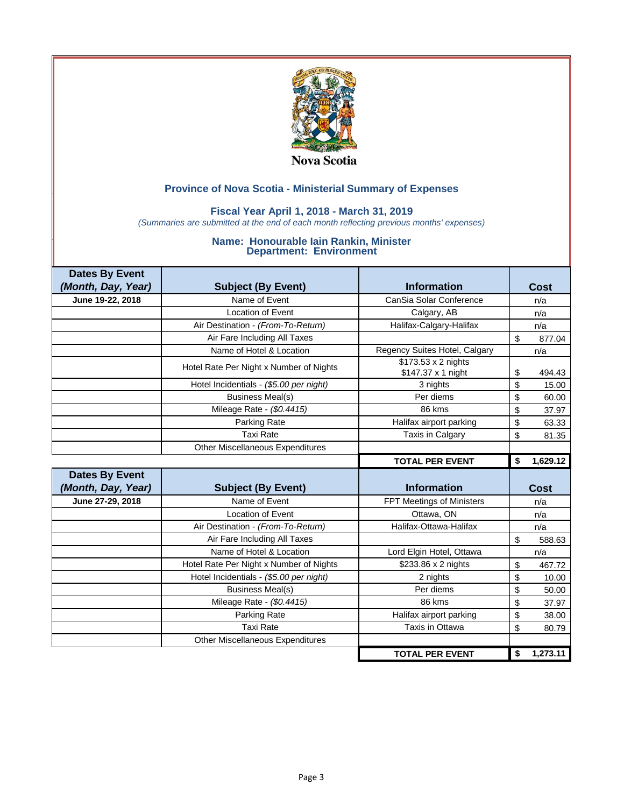

## **Fiscal Year April 1, 2018 - March 31, 2019**

*(Summaries are submitted at the end of each month reflecting previous months' expenses)*

| <b>Dates By Event</b> |                                         |                                           |                |             |
|-----------------------|-----------------------------------------|-------------------------------------------|----------------|-------------|
| (Month, Day, Year)    | <b>Subject (By Event)</b>               | <b>Information</b>                        |                | Cost        |
| June 19-22, 2018      | Name of Event                           | CanSia Solar Conference                   |                | n/a         |
|                       | Location of Event                       | Calgary, AB                               |                | n/a         |
|                       | Air Destination - (From-To-Return)      | Halifax-Calgary-Halifax                   |                | n/a         |
|                       | Air Fare Including All Taxes            |                                           | \$             | 877.04      |
|                       | Name of Hotel & Location                | Regency Suites Hotel, Calgary             |                | n/a         |
|                       | Hotel Rate Per Night x Number of Nights | \$173.53 x 2 nights<br>\$147.37 x 1 night | \$             | 494.43      |
|                       | Hotel Incidentials - (\$5.00 per night) | 3 nights                                  | \$             | 15.00       |
|                       | <b>Business Meal(s)</b>                 | Per diems                                 | \$             | 60.00       |
|                       | Mileage Rate - (\$0.4415)               | 86 kms                                    | \$             | 37.97       |
|                       | Parking Rate                            | Halifax airport parking                   | \$             | 63.33       |
|                       | <b>Taxi Rate</b>                        | Taxis in Calgary                          | \$             | 81.35       |
|                       | <b>Other Miscellaneous Expenditures</b> |                                           |                |             |
|                       |                                         | <b>TOTAL PER EVENT</b>                    | \$             | 1,629.12    |
|                       |                                         |                                           |                |             |
| <b>Dates By Event</b> |                                         |                                           |                |             |
| (Month, Day, Year)    | <b>Subject (By Event)</b>               | <b>Information</b>                        |                | <b>Cost</b> |
| June 27-29, 2018      | Name of Event                           | FPT Meetings of Ministers                 |                | n/a         |
|                       | Location of Event                       | Ottawa, ON                                |                | n/a         |
|                       | Air Destination - (From-To-Return)      | Halifax-Ottawa-Halifax                    |                | n/a         |
|                       | Air Fare Including All Taxes            |                                           | $\mathfrak{s}$ | 588.63      |
|                       | Name of Hotel & Location                | Lord Elgin Hotel, Ottawa                  |                | n/a         |
|                       | Hotel Rate Per Night x Number of Nights | \$233.86 x 2 nights                       | \$             | 467.72      |
|                       | Hotel Incidentials - (\$5.00 per night) | 2 nights                                  | \$             | 10.00       |
|                       | <b>Business Meal(s)</b>                 | Per diems                                 | \$             | 50.00       |
|                       | Mileage Rate - (\$0.4415)               | 86 kms                                    | \$             | 37.97       |
|                       | Parking Rate                            | Halifax airport parking                   | \$             | 38.00       |
|                       | <b>Taxi Rate</b>                        | Taxis in Ottawa                           | \$             | 80.79       |
|                       | <b>Other Miscellaneous Expenditures</b> |                                           |                |             |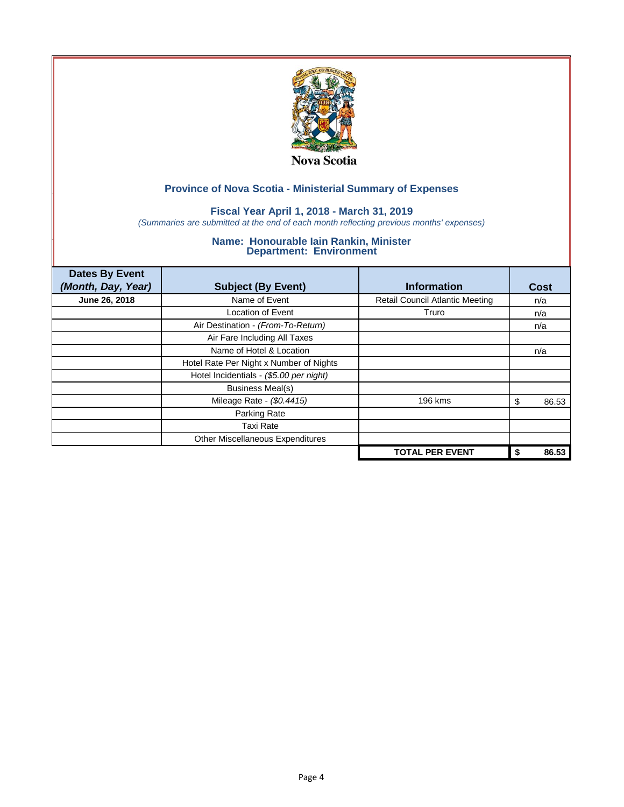

## **Fiscal Year April 1, 2018 - March 31, 2019**

*(Summaries are submitted at the end of each month reflecting previous months' expenses)*

| <b>Dates By Event</b><br>(Month, Day, Year) | <b>Subject (By Event)</b>               | <b>Information</b>                     | Cost        |
|---------------------------------------------|-----------------------------------------|----------------------------------------|-------------|
| June 26, 2018                               | Name of Event                           | <b>Retail Council Atlantic Meeting</b> | n/a         |
|                                             | Location of Event                       | Truro                                  | n/a         |
|                                             | Air Destination - (From-To-Return)      |                                        | n/a         |
|                                             | Air Fare Including All Taxes            |                                        |             |
|                                             | Name of Hotel & Location                |                                        | n/a         |
|                                             | Hotel Rate Per Night x Number of Nights |                                        |             |
|                                             | Hotel Incidentials - (\$5.00 per night) |                                        |             |
|                                             | <b>Business Meal(s)</b>                 |                                        |             |
|                                             | Mileage Rate - (\$0.4415)               | 196 kms                                | 86.53<br>S  |
|                                             | Parking Rate                            |                                        |             |
|                                             | Taxi Rate                               |                                        |             |
|                                             | Other Miscellaneous Expenditures        |                                        |             |
|                                             |                                         | <b>TOTAL PER EVENT</b>                 | 86.53<br>\$ |